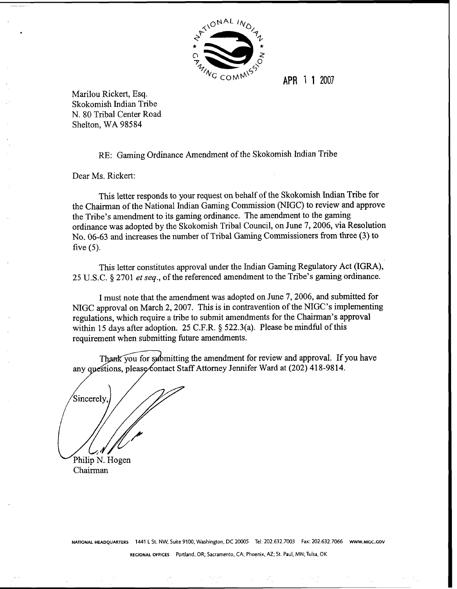

**APR** 1 1 2007

Marilou Rickert, Esq. Skokomish Indian Tribe N. 80 Tribal Center Road Shelton, WA **98584** 

RE: Gaming Ordinance Amendment of the Skokomish Indian Tribe

Dear Ms. Rickert:

This letter responds to your request on behalf of the Skokomish Indian Tribe for the Chairman of the National Indian Gaming Commission (NIGC) to review and approve the Tribe's amendment to its gaming ordinance. The amendment to the gaming ordinance was adopted by the Skokomish Tribal Council, on June 7,2006, via Resolution No. 06-63 and increases the number of Tribal Gaming Commissioners fiom three (3) to five (5).

This letter constitutes approval under the Indian Gaming Regulatory Act (IGRA), 25 U.S.C. *5* 2701 *et* seq., of the referenced amendment to the Tribe's gaming ordinance.

I must note that the amendment was adopted on June 7,2006, and submitted for NIGC approval on March 2,2007. This is in contravention of the NIGC's implementing regulations, which require a tribe to submit amendments for the Chairman's approval within 15 days after adoption. 25 C.F.R. *5* 522.3(a). Please be mindful of this requirement when submitting future amendments.

Thank you for submitting the amendment for review and approval. If you have any questions, please contact Staff Attorney Jennifer Ward at (202) 418-9814.

Sincerely. Philip N. Hogen

Chairman

**NATIONAL HEADQUARTERS 1441 L** St. NW, Suite 9100. Washington, **DC** 20005 Tel: 202.632.7003 **Fax:** 202.632.7066 **Www.~l~c.GOv** 

**REGIONAL OFFICES** Portland, OR; Sacramento, CA; Phoenix, **AZ; St.** Paul, MN; Tulsa. OK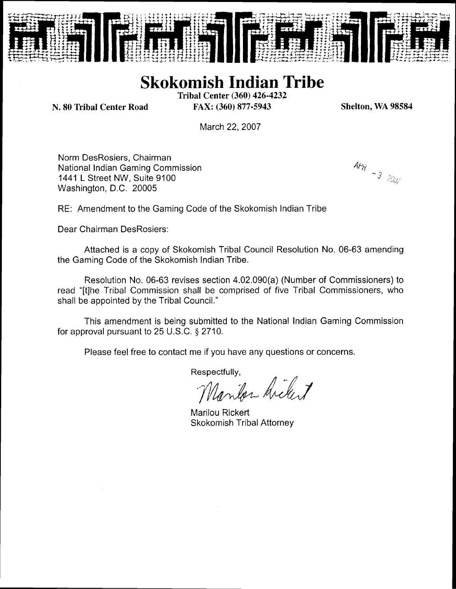

## **Skokomish Indian Tribe**

**Tribal Center (360) 426-4232 N. 80 Tribal Center Road FAX: (360) 877-5943** 

**Shelton, WA 98584** 

March 22, 2007

Norm DesRosiers, Chairman National lndian Gaming Commission 1441 L Street NW, Suite 9100 Washington, D.C. 20005

 $\frac{AP_{\mathcal{H}}}{P}$  - 3  $200$ 

RE: Amendment to the Gaming Code of the Skokomish lndian Tribe

Dear Chairman DesRosiers:

Attached is a copy of Skokomish Tribal Council Resolution No. 06-63 amending the Gaming Code of the Skokomish lndian Tribe.

Resolution No. 06-63 revises section 4.02.090(a) (Number of Commissioners) to read "[tlhe Tribal Commission shall be comprised of five Tribal Commissioners, who shall be appointed by the Tribal Council."

This amendment is being submitted to the National lndian Gaming Commission for approval pursuant to 25 U.S.C. *5* 2710.

Please feel free to contact me if you have any questions or concerns.

Respectfully,<br>Marilor Arclert

Marilou Rickert Skokomish Tribal Attorney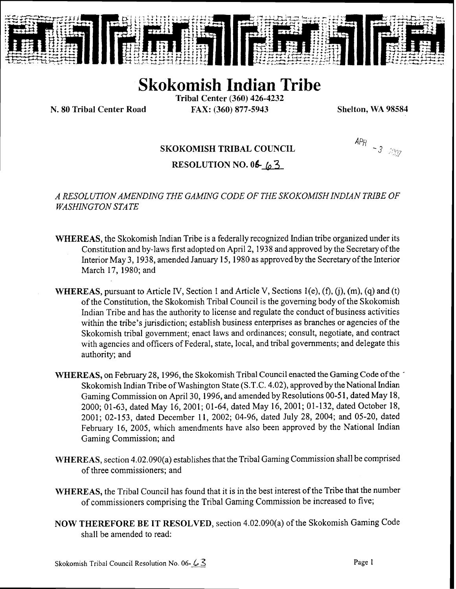

# **Skokomish Indian Tribe**

Tribal Center (360) 426-4232 N. **80** Tribal Center **Road** FAX: (360) 877-5943 Shelton, WA 98584

### SKOKOMISH TRIBAL COUNCIL

**APR** - 3  $\approx$  2007

RESOLUTION NO. 06 6 3

### *A RESOLUTION AMENDING THE GAMmG CODE OF THE SKOKOMISH INDIAN TRIBE OF WASHINGTON STATE*

- WHEREAS, the Skokomish Indian Tribe is a federally recognized Indian tribe organized under its Constitution and by-laws first adopted on April 2, 1938 and approved by the Secretary of the Interior May 3,1938, amended January 15,1980 as approved by the Secretary of the Interior March 17, 1980; and
- WHEREAS, pursuant to Article IV, Section 1 and Article V, Sections 1(e), (f), (j), (m), (q) and (t) of the Constitution, the Skokomish Tribal Council is the governing body of the Skokomish Indian Tribe and has the authority to license and regulate the conduct of business activities within the tribe's jurisdiction; establish business enterprises as branches or agencies of the Skokomish tribal government; enact laws and ordinances; consult, negotiate, and contract with agencies and officers of Federal, state, local, and tribal governments; and delegate this authority; and
- WHEREAS, on February 28, 1996, the Skokomish Tribal Council enacted the Gaming Code of the -Skokomish Indian Tribe of Washington State (S.T.C. 4.02), approved by the National Indian Gaming Commission on April 30,1996, and amended by Resolutions 00-5 1, dated May 18, 2000; 01-63, dated May 16, 2001; 01-64, dated May 16, 2001; 01-132, dated October 18, 2001; 02-153, dated December 11, 2002; 04-96, dated July 28, 2004; and 05-20, dated February 16, 2005, which amendments have also been approved by the National Indian Gaming Commission; and
- WHEREAS, section 4.02.090(a) establishes that the Tribal Gaming Commission shall be comprised of three commissioners; and
- WHEREAS, the Tribal Council has found that it is in the best interest of the Tribe that the number of commissioners comprising the Tribal Gaming Commission be increased to five;
- NOW THEREFORE BE IT RESOLVED, section 4.02.090(a) of the Skokomish Gaming Code shall be amended to read: